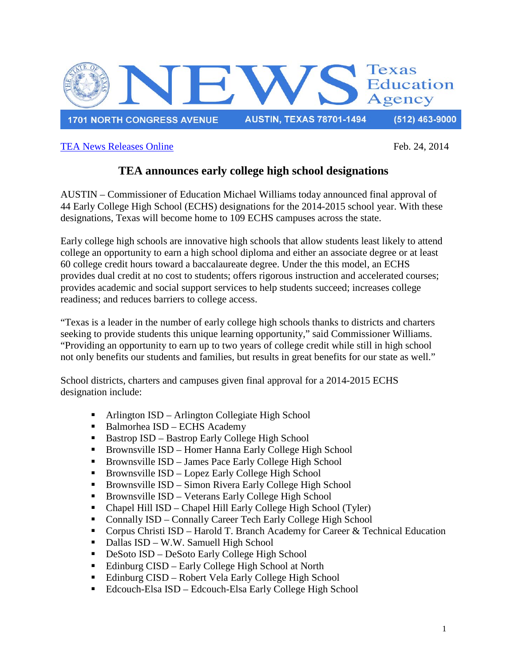

## [TEA News Releases Online](http://www.tea.state.tx.us/index2.aspx?id=2147504969&menu_id=692&menu_id2=796&cid=2147483661) Feb. 24, 2014

## **TEA announces early college high school designations**

AUSTIN – Commissioner of Education Michael Williams today announced final approval of 44 Early College High School (ECHS) designations for the 2014-2015 school year. With these designations, Texas will become home to 109 ECHS campuses across the state.

Early college high schools are innovative high schools that allow students least likely to attend college an opportunity to earn a high school diploma and either an associate degree or at least 60 college credit hours toward a baccalaureate degree. Under the this model, an ECHS provides dual credit at no cost to students; offers rigorous instruction and accelerated courses; provides academic and social support services to help students succeed; increases college readiness; and reduces barriers to college access.

"Texas is a leader in the number of early college high schools thanks to districts and charters seeking to provide students this unique learning opportunity," said Commissioner Williams. "Providing an opportunity to earn up to two years of college credit while still in high school not only benefits our students and families, but results in great benefits for our state as well."

School districts, charters and campuses given final approval for a 2014-2015 ECHS designation include:

- Arlington ISD Arlington Collegiate High School
- Balmorhea ISD ECHS Academy
- Bastrop ISD Bastrop Early College High School
- Brownsville ISD Homer Hanna Early College High School
- **Brownsville ISD James Pace Early College High School**
- Brownsville ISD Lopez Early College High School
- **Brownsville ISD Simon Rivera Early College High School**
- Brownsville ISD Veterans Early College High School
- Chapel Hill ISD Chapel Hill Early College High School (Tyler)
- Connally ISD Connally Career Tech Early College High School
- Corpus Christi ISD Harold T. Branch Academy for Career & Technical Education
- Dallas ISD W.W. Samuell High School
- DeSoto ISD DeSoto Early College High School
- Edinburg CISD Early College High School at North
- Edinburg CISD Robert Vela Early College High School
- Edcouch-Elsa ISD Edcouch-Elsa Early College High School